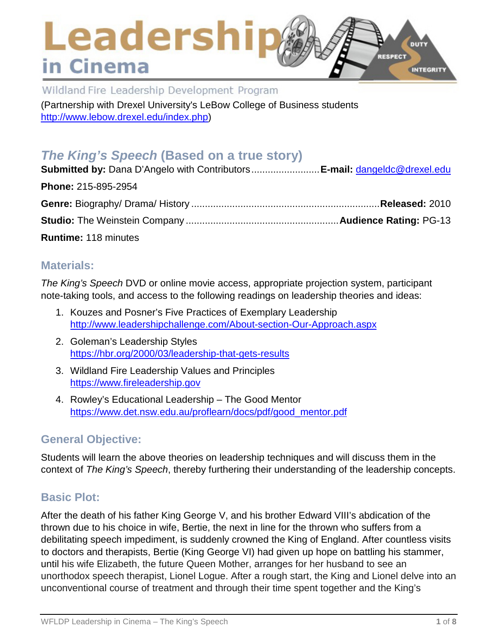# Leadershi DUTY **RESPECT** in Cinema INTEGRITY

Wildland Fire Leadership Development Program

(Partnership with Drexel University's LeBow College of Business students [http://www.lebow.drexel.edu/index.php\)](http://www.lebow.drexel.edu/index.php)

# *The King's Speech* **(Based on a true story)**

| <b>Submitted by:</b> Dana D'Angelo with ContributorsE-mail: dangeldc@drexel.edu |  |
|---------------------------------------------------------------------------------|--|
| Phone: 215-895-2954                                                             |  |
|                                                                                 |  |
|                                                                                 |  |
| <b>Runtime: 118 minutes</b>                                                     |  |

## **Materials:**

*The King's Speech* DVD or online movie access, appropriate projection system, participant note-taking tools, and access to the following readings on leadership theories and ideas:

- 1. Kouzes and Posner's Five Practices of Exemplary Leadership <http://www.leadershipchallenge.com/About-section-Our-Approach.aspx>
- 2. Goleman's Leadership Styles <https://hbr.org/2000/03/leadership-that-gets-results>
- 3. Wildland Fire Leadership Values and Principles [https://www.fireleadership.gov](https://www.fireleadership.gov/)
- 4. Rowley's Educational Leadership The Good Mentor [https://www.det.nsw.edu.au/proflearn/docs/pdf/good\\_mentor.pdf](https://www.det.nsw.edu.au/proflearn/docs/pdf/good_mentor.pdf)

## **General Objective:**

Students will learn the above theories on leadership techniques and will discuss them in the context of *The King's Speech*, thereby furthering their understanding of the leadership concepts.

# **Basic Plot:**

After the death of his father King George V, and his brother Edward VIII's abdication of the thrown due to his choice in wife, Bertie, the next in line for the thrown who suffers from a debilitating speech impediment, is suddenly crowned the King of England. After countless visits to doctors and therapists, Bertie (King George VI) had given up hope on battling his stammer, until his wife Elizabeth, the future Queen Mother, arranges for her husband to see an unorthodox speech therapist, Lionel Logue. After a rough start, the King and Lionel delve into an unconventional course of treatment and through their time spent together and the King's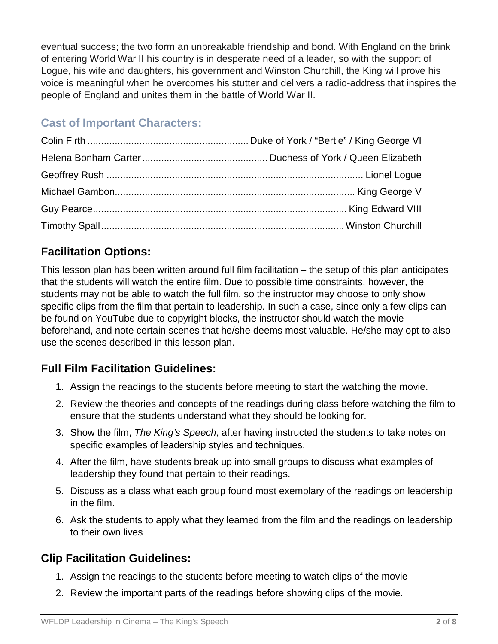eventual success; the two form an unbreakable friendship and bond. With England on the brink of entering World War II his country is in desperate need of a leader, so with the support of Logue, his wife and daughters, his government and Winston Churchill, the King will prove his voice is meaningful when he overcomes his stutter and delivers a radio-address that inspires the people of England and unites them in the battle of World War II.

# **Cast of Important Characters:**

# **Facilitation Options:**

This lesson plan has been written around full film facilitation – the setup of this plan anticipates that the students will watch the entire film. Due to possible time constraints, however, the students may not be able to watch the full film, so the instructor may choose to only show specific clips from the film that pertain to leadership. In such a case, since only a few clips can be found on YouTube due to copyright blocks, the instructor should watch the movie beforehand, and note certain scenes that he/she deems most valuable. He/she may opt to also use the scenes described in this lesson plan.

# **Full Film Facilitation Guidelines:**

- 1. Assign the readings to the students before meeting to start the watching the movie.
- 2. Review the theories and concepts of the readings during class before watching the film to ensure that the students understand what they should be looking for.
- 3. Show the film, *The King's Speech*, after having instructed the students to take notes on specific examples of leadership styles and techniques.
- 4. After the film, have students break up into small groups to discuss what examples of leadership they found that pertain to their readings.
- 5. Discuss as a class what each group found most exemplary of the readings on leadership in the film.
- 6. Ask the students to apply what they learned from the film and the readings on leadership to their own lives

# **Clip Facilitation Guidelines:**

- 1. Assign the readings to the students before meeting to watch clips of the movie
- 2. Review the important parts of the readings before showing clips of the movie.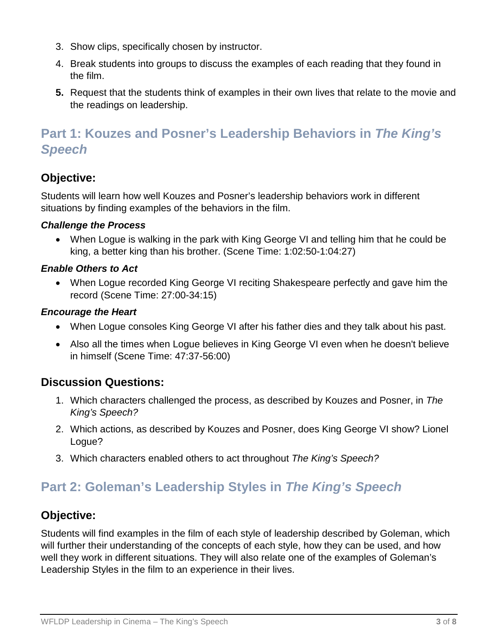- 3. Show clips, specifically chosen by instructor.
- 4. Break students into groups to discuss the examples of each reading that they found in the film.
- **5.** Request that the students think of examples in their own lives that relate to the movie and the readings on leadership.

# **Part 1: Kouzes and Posner's Leadership Behaviors in** *The King's Speech*

# **Objective:**

Students will learn how well Kouzes and Posner's leadership behaviors work in different situations by finding examples of the behaviors in the film.

## *Challenge the Process*

• When Logue is walking in the park with King George VI and telling him that he could be king, a better king than his brother. (Scene Time: 1:02:50-1:04:27)

## *Enable Others to Act*

• When Logue recorded King George VI reciting Shakespeare perfectly and gave him the record (Scene Time: 27:00-34:15)

## *Encourage the Heart*

- When Logue consoles King George VI after his father dies and they talk about his past.
- Also all the times when Logue believes in King George VI even when he doesn't believe in himself (Scene Time: 47:37-56:00)

# **Discussion Questions:**

- 1. Which characters challenged the process, as described by Kouzes and Posner, in *The King's Speech?*
- 2. Which actions, as described by Kouzes and Posner, does King George VI show? Lionel Logue?
- 3. Which characters enabled others to act throughout *The King's Speech?*

# **Part 2: Goleman's Leadership Styles in** *The King's Speech*

# **Objective:**

Students will find examples in the film of each style of leadership described by Goleman, which will further their understanding of the concepts of each style, how they can be used, and how well they work in different situations. They will also relate one of the examples of Goleman's Leadership Styles in the film to an experience in their lives.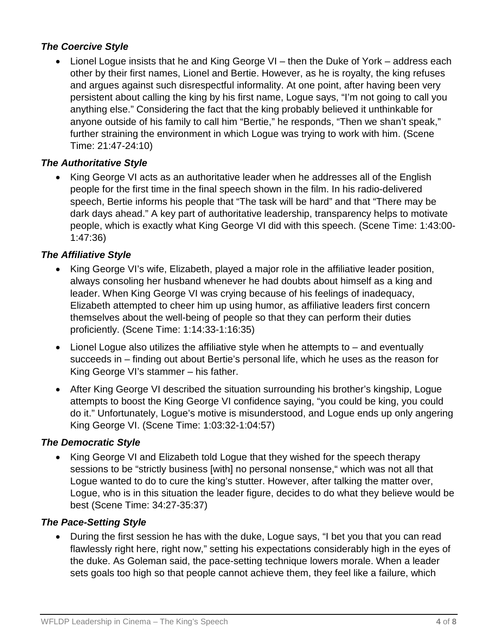## *The Coercive Style*

• Lionel Logue insists that he and King George VI – then the Duke of York – address each other by their first names, Lionel and Bertie. However, as he is royalty, the king refuses and argues against such disrespectful informality. At one point, after having been very persistent about calling the king by his first name, Logue says, "I'm not going to call you anything else." Considering the fact that the king probably believed it unthinkable for anyone outside of his family to call him "Bertie," he responds, "Then we shan't speak," further straining the environment in which Logue was trying to work with him. (Scene Time: 21:47-24:10)

## *The Authoritative Style*

• King George VI acts as an authoritative leader when he addresses all of the English people for the first time in the final speech shown in the film. In his radio-delivered speech, Bertie informs his people that "The task will be hard" and that "There may be dark days ahead." A key part of authoritative leadership, transparency helps to motivate people, which is exactly what King George VI did with this speech. (Scene Time: 1:43:00- 1:47:36)

## *The Affiliative Style*

- King George VI's wife, Elizabeth, played a major role in the affiliative leader position, always consoling her husband whenever he had doubts about himself as a king and leader. When King George VI was crying because of his feelings of inadequacy, Elizabeth attempted to cheer him up using humor, as affiliative leaders first concern themselves about the well-being of people so that they can perform their duties proficiently. (Scene Time: 1:14:33-1:16:35)
- Lionel Logue also utilizes the affiliative style when he attempts to and eventually succeeds in – finding out about Bertie's personal life, which he uses as the reason for King George VI's stammer – his father.
- After King George VI described the situation surrounding his brother's kingship, Logue attempts to boost the King George VI confidence saying, "you could be king, you could do it." Unfortunately, Logue's motive is misunderstood, and Logue ends up only angering King George VI. (Scene Time: 1:03:32-1:04:57)

#### *The Democratic Style*

• King George VI and Elizabeth told Logue that they wished for the speech therapy sessions to be "strictly business [with] no personal nonsense," which was not all that Logue wanted to do to cure the king's stutter. However, after talking the matter over, Logue, who is in this situation the leader figure, decides to do what they believe would be best (Scene Time: 34:27-35:37)

#### *The Pace-Setting Style*

• During the first session he has with the duke, Logue says, "I bet you that you can read flawlessly right here, right now," setting his expectations considerably high in the eyes of the duke. As Goleman said, the pace-setting technique lowers morale. When a leader sets goals too high so that people cannot achieve them, they feel like a failure, which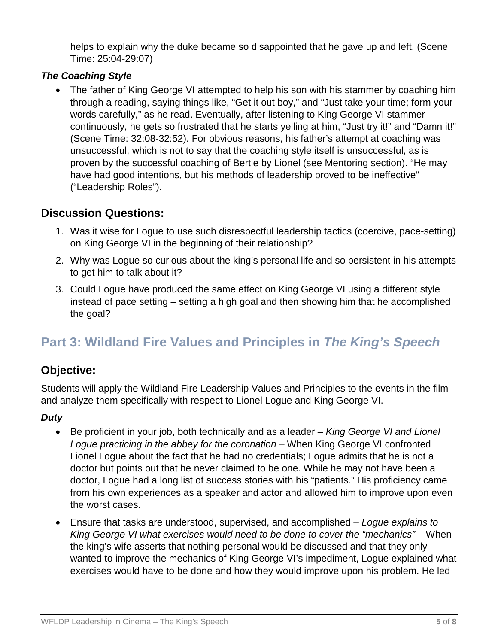helps to explain why the duke became so disappointed that he gave up and left. (Scene Time: 25:04-29:07)

## *The Coaching Style*

• The father of King George VI attempted to help his son with his stammer by coaching him through a reading, saying things like, "Get it out boy," and "Just take your time; form your words carefully," as he read. Eventually, after listening to King George VI stammer continuously, he gets so frustrated that he starts yelling at him, "Just try it!" and "Damn it!" (Scene Time: 32:08-32:52). For obvious reasons, his father's attempt at coaching was unsuccessful, which is not to say that the coaching style itself is unsuccessful, as is proven by the successful coaching of Bertie by Lionel (see Mentoring section). "He may have had good intentions, but his methods of leadership proved to be ineffective" ("Leadership Roles").

## **Discussion Questions:**

- 1. Was it wise for Logue to use such disrespectful leadership tactics (coercive, pace-setting) on King George VI in the beginning of their relationship?
- 2. Why was Logue so curious about the king's personal life and so persistent in his attempts to get him to talk about it?
- 3. Could Logue have produced the same effect on King George VI using a different style instead of pace setting – setting a high goal and then showing him that he accomplished the goal?

# **Part 3: Wildland Fire Values and Principles in** *The King's Speech*

# **Objective:**

Students will apply the Wildland Fire Leadership Values and Principles to the events in the film and analyze them specifically with respect to Lionel Logue and King George VI.

## *Duty*

- Be proficient in your job, both technically and as a leader *King George VI and Lionel Logue practicing in the abbey for the coronation* – When King George VI confronted Lionel Logue about the fact that he had no credentials; Logue admits that he is not a doctor but points out that he never claimed to be one. While he may not have been a doctor, Logue had a long list of success stories with his "patients." His proficiency came from his own experiences as a speaker and actor and allowed him to improve upon even the worst cases.
- Ensure that tasks are understood, supervised, and accomplished *Logue explains to King George VI what exercises would need to be done to cover the "mechanics"* – When the king's wife asserts that nothing personal would be discussed and that they only wanted to improve the mechanics of King George VI's impediment, Logue explained what exercises would have to be done and how they would improve upon his problem. He led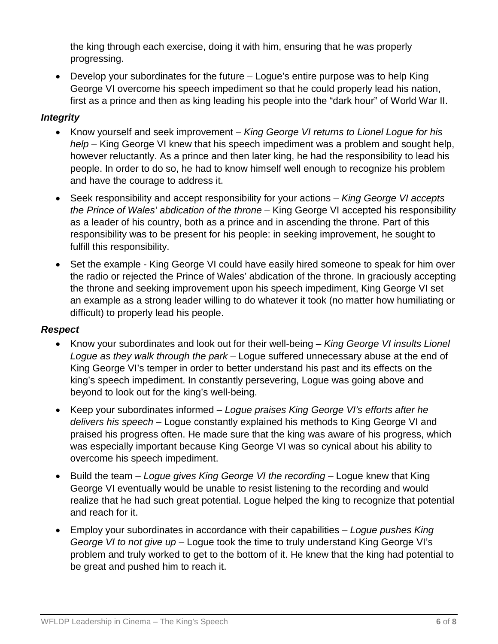the king through each exercise, doing it with him, ensuring that he was properly progressing.

• Develop your subordinates for the future – Logue's entire purpose was to help King George VI overcome his speech impediment so that he could properly lead his nation, first as a prince and then as king leading his people into the "dark hour" of World War II.

### *Integrity*

- Know yourself and seek improvement *King George VI returns to Lionel Logue for his help* – King George VI knew that his speech impediment was a problem and sought help, however reluctantly. As a prince and then later king, he had the responsibility to lead his people. In order to do so, he had to know himself well enough to recognize his problem and have the courage to address it.
- Seek responsibility and accept responsibility for your actions *King George VI accepts the Prince of Wales' abdication of the throne* – King George VI accepted his responsibility as a leader of his country, both as a prince and in ascending the throne. Part of this responsibility was to be present for his people: in seeking improvement, he sought to fulfill this responsibility.
- Set the example King George VI could have easily hired someone to speak for him over the radio or rejected the Prince of Wales' abdication of the throne. In graciously accepting the throne and seeking improvement upon his speech impediment, King George VI set an example as a strong leader willing to do whatever it took (no matter how humiliating or difficult) to properly lead his people.

#### *Respect*

- Know your subordinates and look out for their well-being *King George VI insults Lionel Logue as they walk through the park* – Logue suffered unnecessary abuse at the end of King George VI's temper in order to better understand his past and its effects on the king's speech impediment. In constantly persevering, Logue was going above and beyond to look out for the king's well-being.
- Keep your subordinates informed *Logue praises King George VI's efforts after he delivers his speech* – Logue constantly explained his methods to King George VI and praised his progress often. He made sure that the king was aware of his progress, which was especially important because King George VI was so cynical about his ability to overcome his speech impediment.
- Build the team *Logue gives King George VI the recording* Logue knew that King George VI eventually would be unable to resist listening to the recording and would realize that he had such great potential. Logue helped the king to recognize that potential and reach for it.
- Employ your subordinates in accordance with their capabilities *Logue pushes King George VI to not give up* – Logue took the time to truly understand King George VI's problem and truly worked to get to the bottom of it. He knew that the king had potential to be great and pushed him to reach it.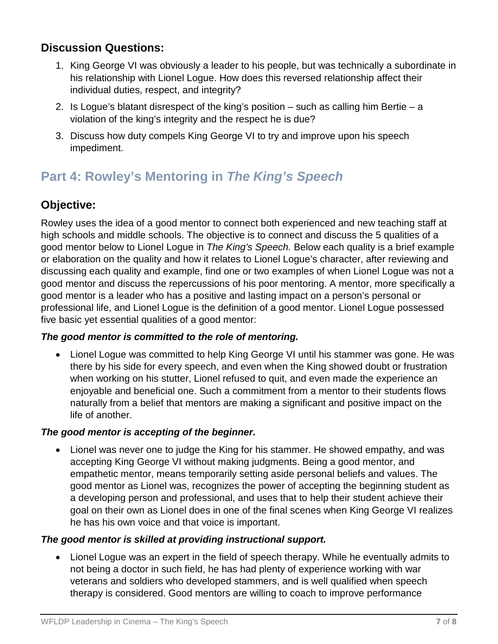## **Discussion Questions:**

- 1. King George VI was obviously a leader to his people, but was technically a subordinate in his relationship with Lionel Logue. How does this reversed relationship affect their individual duties, respect, and integrity?
- 2. Is Logue's blatant disrespect of the king's position such as calling him Bertie a violation of the king's integrity and the respect he is due?
- 3. Discuss how duty compels King George VI to try and improve upon his speech impediment.

# **Part 4: Rowley's Mentoring in** *The King's Speech*

# **Objective:**

Rowley uses the idea of a good mentor to connect both experienced and new teaching staff at high schools and middle schools. The objective is to connect and discuss the 5 qualities of a good mentor below to Lionel Logue in *The King's Speech.* Below each quality is a brief example or elaboration on the quality and how it relates to Lionel Logue's character, after reviewing and discussing each quality and example, find one or two examples of when Lionel Logue was not a good mentor and discuss the repercussions of his poor mentoring. A mentor, more specifically a good mentor is a leader who has a positive and lasting impact on a person's personal or professional life, and Lionel Logue is the definition of a good mentor. Lionel Logue possessed five basic yet essential qualities of a good mentor:

## *The good mentor is committed to the role of mentoring.*

• Lionel Logue was committed to help King George VI until his stammer was gone. He was there by his side for every speech, and even when the King showed doubt or frustration when working on his stutter, Lionel refused to quit, and even made the experience an enjoyable and beneficial one. Such a commitment from a mentor to their students flows naturally from a belief that mentors are making a significant and positive impact on the life of another.

#### *The good mentor is accepting of the beginner.*

• Lionel was never one to judge the King for his stammer. He showed empathy, and was accepting King George VI without making judgments. Being a good mentor, and empathetic mentor, means temporarily setting aside personal beliefs and values. The good mentor as Lionel was, recognizes the power of accepting the beginning student as a developing person and professional, and uses that to help their student achieve their goal on their own as Lionel does in one of the final scenes when King George VI realizes he has his own voice and that voice is important.

#### *The good mentor is skilled at providing instructional support.*

• Lionel Logue was an expert in the field of speech therapy. While he eventually admits to not being a doctor in such field, he has had plenty of experience working with war veterans and soldiers who developed stammers, and is well qualified when speech therapy is considered. Good mentors are willing to coach to improve performance